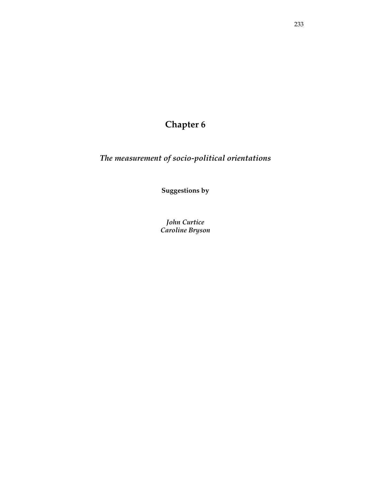# **Chapter 6**

*The measurement of socio-political orientations* 

**Suggestions by** 

*John Curtice Caroline Bryson*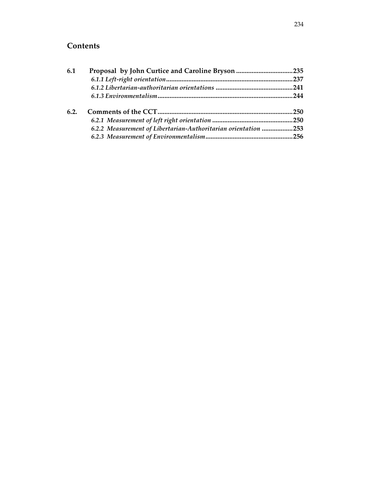## **Contents**

| 6.1  | Proposal by John Curtice and Caroline Bryson 235               |  |
|------|----------------------------------------------------------------|--|
|      |                                                                |  |
|      |                                                                |  |
|      |                                                                |  |
| 6.2. |                                                                |  |
|      |                                                                |  |
|      | 6.2.2 Measurement of Libertarian-Authoritarian orientation 253 |  |
|      |                                                                |  |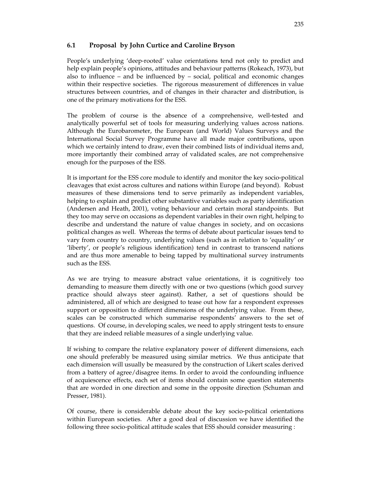## **6.1 Proposal by John Curtice and Caroline Bryson**

People's underlying 'deep-rooted' value orientations tend not only to predict and help explain people's opinions, attitudes and behaviour patterns (Rokeach, 1973), but also to influence – and be influenced by – social, political and economic changes within their respective societies. The rigorous measurement of differences in value structures between countries, and of changes in their character and distribution, is one of the primary motivations for the ESS.

The problem of course is the absence of a comprehensive, well-tested and analytically powerful set of tools for measuring underlying values across nations. Although the Eurobarometer, the European (and World) Values Surveys and the International Social Survey Programme have all made major contributions, upon which we certainly intend to draw, even their combined lists of individual items and, more importantly their combined array of validated scales, are not comprehensive enough for the purposes of the ESS.

It is important for the ESS core module to identify and monitor the key socio-political cleavages that exist across cultures and nations within Europe (and beyond). Robust measures of these dimensions tend to serve primarily as independent variables, helping to explain and predict other substantive variables such as party identification (Andersen and Heath, 2001), voting behaviour and certain moral standpoints. But they too may serve on occasions as dependent variables in their own right, helping to describe and understand the nature of value changes in society, and on occasions political changes as well. Whereas the terms of debate about particular issues tend to vary from country to country, underlying values (such as in relation to 'equality' or 'liberty', or people's religious identification) tend in contrast to transcend nations and are thus more amenable to being tapped by multinational survey instruments such as the ESS.

As we are trying to measure abstract value orientations, it is cognitively too demanding to measure them directly with one or two questions (which good survey practice should always steer against). Rather, a set of questions should be administered, all of which are designed to tease out how far a respondent expresses support or opposition to different dimensions of the underlying value. From these, scales can be constructed which summarise respondents' answers to the set of questions. Of course, in developing scales, we need to apply stringent tests to ensure that they are indeed reliable measures of a single underlying value.

If wishing to compare the relative explanatory power of different dimensions, each one should preferably be measured using similar metrics. We thus anticipate that each dimension will usually be measured by the construction of Likert scales derived from a battery of agree/disagree items. In order to avoid the confounding influence of acquiescence effects, each set of items should contain some question statements that are worded in one direction and some in the opposite direction (Schuman and Presser, 1981).

Of course, there is considerable debate about the key socio-political orientations within European societies. After a good deal of discussion we have identified the following three socio-political attitude scales that ESS should consider measuring :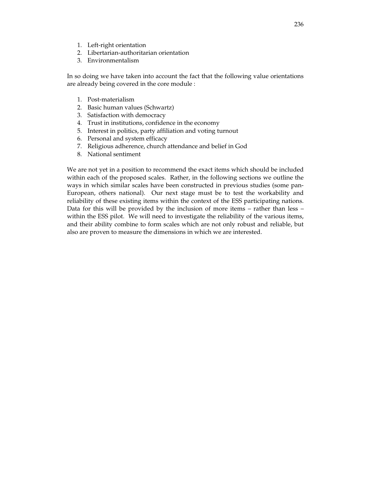- 1. Left-right orientation
- 2. Libertarian-authoritarian orientation
- 3. Environmentalism

In so doing we have taken into account the fact that the following value orientations are already being covered in the core module :

- 1. Post-materialism
- 2. Basic human values (Schwartz)
- 3. Satisfaction with democracy
- 4. Trust in institutions, confidence in the economy
- 5. Interest in politics, party affiliation and voting turnout
- 6. Personal and system efficacy
- 7. Religious adherence, church attendance and belief in God
- 8. National sentiment

We are not yet in a position to recommend the exact items which should be included within each of the proposed scales. Rather, in the following sections we outline the ways in which similar scales have been constructed in previous studies (some pan-European, others national). Our next stage must be to test the workability and reliability of these existing items within the context of the ESS participating nations. Data for this will be provided by the inclusion of more items – rather than less – within the ESS pilot. We will need to investigate the reliability of the various items, and their ability combine to form scales which are not only robust and reliable, but also are proven to measure the dimensions in which we are interested.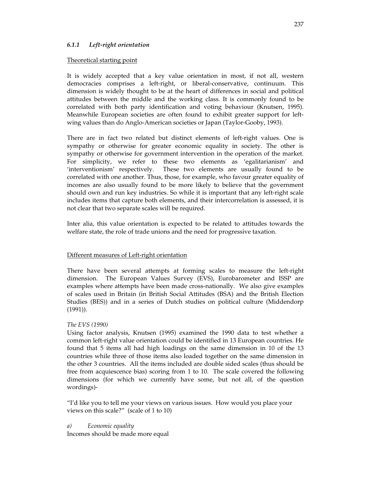## *6.1.1 Left-right orientation*

#### Theoretical starting point

It is widely accepted that a key value orientation in most, if not all, western democracies comprises a left-right, or liberal-conservative, continuum. This dimension is widely thought to be at the heart of differences in social and political attitudes between the middle and the working class. It is commonly found to be correlated with both party identification and voting behaviour (Knutsen, 1995). Meanwhile European societies are often found to exhibit greater support for leftwing values than do Anglo-American societies or Japan (Taylor-Gooby, 1993).

There are in fact two related but distinct elements of left-right values. One is sympathy or otherwise for greater economic equality in society. The other is sympathy or otherwise for government intervention in the operation of the market. For simplicity, we refer to these two elements as 'egalitarianism' and 'interventionism' respectively. These two elements are usually found to be correlated with one another. Thus, those, for example, who favour greater equality of incomes are also usually found to be more likely to believe that the government should own and run key industries. So while it is important that any left-right scale includes items that capture both elements, and their intercorrelation is assessed, it is not clear that two separate scales will be required.

Inter alia, this value orientation is expected to be related to attitudes towards the welfare state, the role of trade unions and the need for progressive taxation.

### Different measures of Left-right orientation

There have been several attempts at forming scales to measure the left-right dimension. The European Values Survey (EVS), Eurobarometer and ISSP are examples where attempts have been made cross-nationally. We also give examples of scales used in Britain (in British Social Attitudes (BSA) and the British Election Studies (BES)) and in a series of Dutch studies on political culture (Middendorp (1991)).

### *The EVS (1990)*

Using factor analysis, Knutsen (1995) examined the 1990 data to test whether a common left-right value orientation could be identified in 13 European countries. He found that 5 items all had high loadings on the same dimension in 10 of the 13 countries while three of those items also loaded together on the same dimension in the other 3 countries. All the items included are double sided scales (thus should be free from acquiescence bias) scoring from 1 to 10. The scale covered the following dimensions (for which we currently have some, but not all, of the question wordings)-

"I'd like you to tell me your views on various issues. How would you place your views on this scale?" (scale of 1 to 10)

*a) Economic equality*

Incomes should be made more equal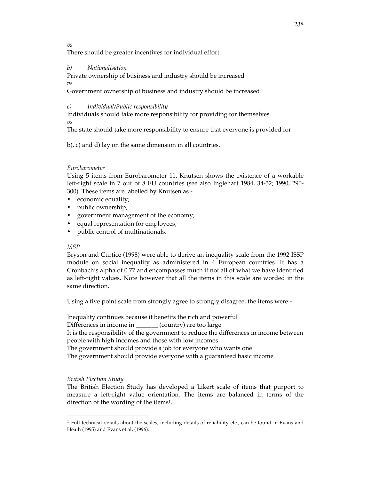*vs*

There should be greater incentives for individual effort

## *b) Nationalisation*

Private ownership of business and industry should be increased

*vs* 

Government ownership of business and industry should be increased

## *c) Individual/Public responsibility*

Individuals should take more responsibility for providing for themselves *vs* 

The state should take more responsibility to ensure that everyone is provided for

b), c) and d) lay on the same dimension in all countries.

## *Eurobarometer*

Using 5 items from Eurobarometer 11, Knutsen shows the existence of a workable left-right scale in 7 out of 8 EU countries (see also Inglehart 1984, 34-32; 1990, 290- 300). These items are labelled by Knutsen as -

- economic equality;
- public ownership;
- government management of the economy;
- equal representation for employees;
- public control of multinationals.

## *ISSP*

Bryson and Curtice (1998) were able to derive an inequality scale from the 1992 ISSP module on social inequality as administered in 4 European countries. It has a Cronbach's alpha of 0.77 and encompasses much if not all of what we have identified as left-right values. Note however that all the items in this scale are worded in the same direction.

Using a five point scale from strongly agree to strongly disagree, the items were -

Inequality continues because it benefits the rich and powerful Differences in income in \_\_\_\_\_\_\_\_ (country) are too large It is the responsibility of the government to reduce the differences in income between people with high incomes and those with low incomes The government should provide a job for everyone who wants one The government should provide everyone with a guaranteed basic income

## *British Election Study*

 $\overline{a}$ 

The British Election Study has developed a Likert scale of items that purport to measure a left-right value orientation. The items are balanced in terms of the direction of the wording of the items<sup>1</sup>.

 $<sup>1</sup>$  Full technical details about the scales, including details of reliability etc., can be found in Evans and</sup> Heath (1995) and Evans et al, (1996).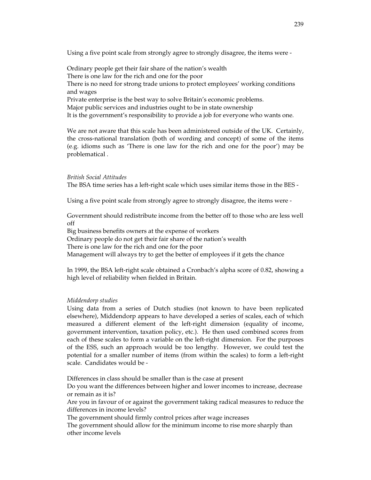Using a five point scale from strongly agree to strongly disagree, the items were -

Ordinary people get their fair share of the nation's wealth There is one law for the rich and one for the poor There is no need for strong trade unions to protect employees' working conditions and wages Private enterprise is the best way to solve Britain's economic problems. Major public services and industries ought to be in state ownership It is the government's responsibility to provide a job for everyone who wants one.

We are not aware that this scale has been administered outside of the UK. Certainly, the cross-national translation (both of wording and concept) of some of the items (e.g. idioms such as 'There is one law for the rich and one for the poor') may be problematical .

#### *British Social Attitudes*

The BSA time series has a left-right scale which uses similar items those in the BES -

Using a five point scale from strongly agree to strongly disagree, the items were -

Government should redistribute income from the better off to those who are less well off

Big business benefits owners at the expense of workers

Ordinary people do not get their fair share of the nation's wealth

There is one law for the rich and one for the poor

Management will always try to get the better of employees if it gets the chance

In 1999, the BSA left-right scale obtained a Cronbach's alpha score of 0.82, showing a high level of reliability when fielded in Britain.

#### *Middendorp studies*

Using data from a series of Dutch studies (not known to have been replicated elsewhere), Middendorp appears to have developed a series of scales, each of which measured a different element of the left-right dimension (equality of income, government intervention, taxation policy, etc.). He then used combined scores from each of these scales to form a variable on the left-right dimension. For the purposes of the ESS, such an approach would be too lengthy. However, we could test the potential for a smaller number of items (from within the scales) to form a left-right scale. Candidates would be -

Differences in class should be smaller than is the case at present

Do you want the differences between higher and lower incomes to increase, decrease or remain as it is?

Are you in favour of or against the government taking radical measures to reduce the differences in income levels?

The government should firmly control prices after wage increases

The government should allow for the minimum income to rise more sharply than other income levels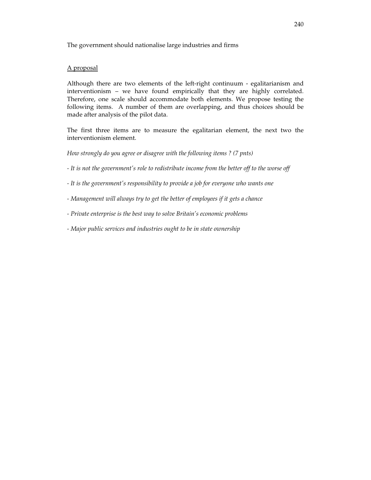The government should nationalise large industries and firms

## A proposal

Although there are two elements of the left-right continuum - egalitarianism and interventionism – we have found empirically that they are highly correlated. Therefore, one scale should accommodate both elements. We propose testing the following items. A number of them are overlapping, and thus choices should be made after analysis of the pilot data.

The first three items are to measure the egalitarian element, the next two the interventionism element.

*How strongly do you agree or disagree with the following items ? (7 pnts)*

- *It is not the government's role to redistribute income from the better off to the worse off*
- *It is the government's responsibility to provide a job for everyone who wants one*
- *Management will always try to get the better of employees if it gets a chance*
- *Private enterprise is the best way to solve Britain's economic problems*
- *Major public services and industries ought to be in state ownership*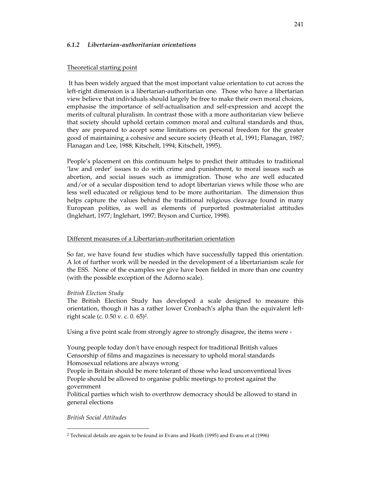#### *6.1.2 Libertarian-authoritarian orientations*

#### Theoretical starting point

 It has been widely argued that the most important value orientation to cut across the left-right dimension is a libertarian-authoritarian one. Those who have a libertarian view believe that individuals should largely be free to make their own moral choices, emphasise the importance of self-actualisation and self-expression and accept the merits of cultural pluralism. In contrast those with a more authoritarian view believe that society should uphold certain common moral and cultural standards and thus, they are prepared to accept some limitations on personal freedom for the greater good of maintaining a cohesive and secure society (Heath et al, 1991; Flanagan, 1987; Flanagan and Lee, 1988; Kitschelt, 1994; Kitschelt, 1995).

People's placement on this continuum helps to predict their attitudes to traditional 'law and order' issues to do with crime and punishment, to moral issues such as abortion, and social issues such as immigration. Those who are well educated and/or of a secular disposition tend to adopt libertarian views while those who are less well educated or religious tend to be more authoritarian. The dimension thus helps capture the values behind the traditional religious cleavage found in many European polities, as well as elements of purported postmaterialist attitudes (Inglehart, 1977; Inglehart, 1997; Bryson and Curtice, 1998).

#### Different measures of a Libertarian-authoritarian orientation

So far, we have found few studies which have successfully tapped this orientation. A lot of further work will be needed in the development of a libertarianism scale for the ESS. None of the examples we give have been fielded in more than one country (with the possible exception of the Adorno scale).

#### *British Election Study*

The British Election Study has developed a scale designed to measure this orientation, though it has a rather lower Cronbach's alpha than the equivalent leftright scale (c. 0.50 v. c. 0. 65)2.

Using a five point scale from strongly agree to strongly disagree, the items were -

Young people today don't have enough respect for traditional British values Censorship of films and magazines is necessary to uphold moral standards Homosexual relations are always wrong

People in Britain should be more tolerant of those who lead unconventional lives People should be allowed to organise public meetings to protest against the government

Political parties which wish to overthrow democracy should be allowed to stand in general elections

*British Social Attitudes* 

j

<sup>2</sup> Technical details are again to be found in Evans and Heath (1995) and Evans et al (1996)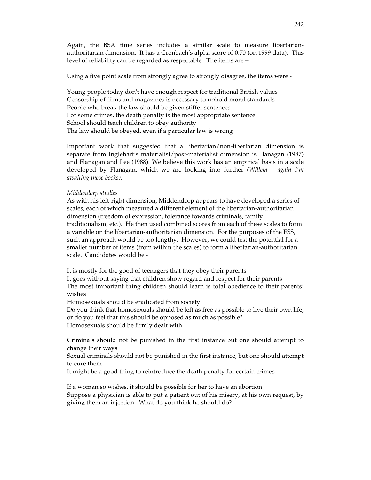Again, the BSA time series includes a similar scale to measure libertarianauthoritarian dimension. It has a Cronbach's alpha score of 0.70 (on 1999 data). This level of reliability can be regarded as respectable. The items are –

Using a five point scale from strongly agree to strongly disagree, the items were -

Young people today don't have enough respect for traditional British values Censorship of films and magazines is necessary to uphold moral standards People who break the law should be given stiffer sentences For some crimes, the death penalty is the most appropriate sentence School should teach children to obey authority The law should be obeyed, even if a particular law is wrong

Important work that suggested that a libertarian/non-libertarian dimension is separate from Inglehart's materialist/post-materialist dimension is Flanagan (1987) and Flanagan and Lee (1988). We believe this work has an empirical basis in a scale developed by Flanagan, which we are looking into further *(Willem – again I'm awaiting these books)*.

#### *Middendorp studies*

As with his left-right dimension, Middendorp appears to have developed a series of scales, each of which measured a different element of the libertarian-authoritarian dimension (freedom of expression, tolerance towards criminals, family traditionalism, etc.). He then used combined scores from each of these scales to form a variable on the libertarian-authoritarian dimension. For the purposes of the ESS, such an approach would be too lengthy. However, we could test the potential for a smaller number of items (from within the scales) to form a libertarian-authoritarian scale. Candidates would be -

It is mostly for the good of teenagers that they obey their parents

It goes without saying that children show regard and respect for their parents The most important thing children should learn is total obedience to their parents' wishes

Homosexuals should be eradicated from society

Do you think that homosexuals should be left as free as possible to live their own life, or do you feel that this should be opposed as much as possible? Homosexuals should be firmly dealt with

Criminals should not be punished in the first instance but one should attempt to change their ways

Sexual criminals should not be punished in the first instance, but one should attempt to cure them

It might be a good thing to reintroduce the death penalty for certain crimes

If a woman so wishes, it should be possible for her to have an abortion Suppose a physician is able to put a patient out of his misery, at his own request, by giving them an injection. What do you think he should do?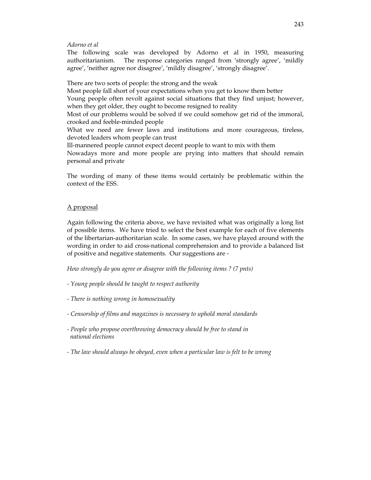#### *Adorno et al*

The following scale was developed by Adorno et al in 1950, measuring authoritarianism. The response categories ranged from 'strongly agree', 'mildly agree', 'neither agree nor disagree', 'mildly disagree', 'strongly disagree'.

There are two sorts of people: the strong and the weak

Most people fall short of your expectations when you get to know them better

Young people often revolt against social situations that they find unjust; however, when they get older, they ought to become resigned to reality

Most of our problems would be solved if we could somehow get rid of the immoral, crooked and feeble-minded people

What we need are fewer laws and institutions and more courageous, tireless, devoted leaders whom people can trust

Ill-mannered people cannot expect decent people to want to mix with them

Nowadays more and more people are prying into matters that should remain personal and private

The wording of many of these items would certainly be problematic within the context of the ESS.

## A proposal

Again following the criteria above, we have revisited what was originally a long list of possible items. We have tried to select the best example for each of five elements of the libertarian-authoritarian scale. In some cases, we have played around with the wording in order to aid cross-national comprehension and to provide a balanced list of positive and negative statements. Our suggestions are -

*How strongly do you agree or disagree with the following items ? (7 pnts)*

- *Young people should be taught to respect authority*
- *There is nothing wrong in homosexuality*
- *Censorship of films and magazines is necessary to uphold moral standards*
- *People who propose overthrowing democracy should be free to stand in national elections*
- *The law should always be obeyed, even when a particular law is felt to be wrong*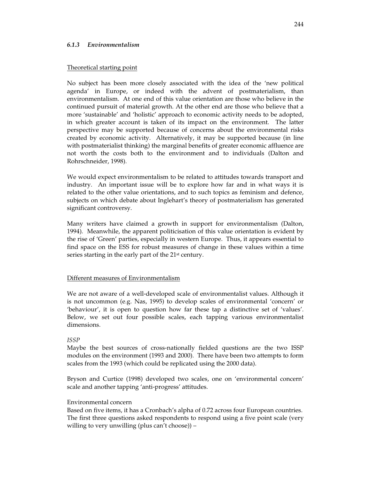#### *6.1.3 Environmentalism*

#### Theoretical starting point

No subject has been more closely associated with the idea of the 'new political agenda' in Europe, or indeed with the advent of postmaterialism, than environmentalism. At one end of this value orientation are those who believe in the continued pursuit of material growth. At the other end are those who believe that a more 'sustainable' and 'holistic' approach to economic activity needs to be adopted, in which greater account is taken of its impact on the environment. The latter perspective may be supported because of concerns about the environmental risks created by economic activity. Alternatively, it may be supported because (in line with postmaterialist thinking) the marginal benefits of greater economic affluence are not worth the costs both to the environment and to individuals (Dalton and Rohrschneider, 1998).

We would expect environmentalism to be related to attitudes towards transport and industry. An important issue will be to explore how far and in what ways it is related to the other value orientations, and to such topics as feminism and defence, subjects on which debate about Inglehart's theory of postmaterialism has generated significant controversy.

Many writers have claimed a growth in support for environmentalism (Dalton, 1994). Meanwhile, the apparent politicisation of this value orientation is evident by the rise of 'Green' parties, especially in western Europe. Thus, it appears essential to find space on the ESS for robust measures of change in these values within a time series starting in the early part of the 21<sup>st</sup> century.

#### Different measures of Environmentalism

We are not aware of a well-developed scale of environmentalist values. Although it is not uncommon (e.g. Nas, 1995) to develop scales of environmental 'concern' or 'behaviour', it is open to question how far these tap a distinctive set of 'values'. Below, we set out four possible scales, each tapping various environmentalist dimensions.

### *ISSP*

Maybe the best sources of cross-nationally fielded questions are the two ISSP modules on the environment (1993 and 2000). There have been two attempts to form scales from the 1993 (which could be replicated using the 2000 data).

Bryson and Curtice (1998) developed two scales, one on 'environmental concern' scale and another tapping 'anti-progress' attitudes.

#### Environmental concern

Based on five items, it has a Cronbach's alpha of 0.72 across four European countries. The first three questions asked respondents to respond using a five point scale (very willing to very unwilling (plus can't choose)) –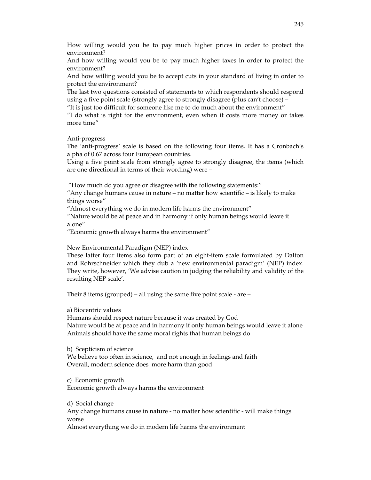How willing would you be to pay much higher prices in order to protect the environment?

And how willing would you be to pay much higher taxes in order to protect the environment?

And how willing would you be to accept cuts in your standard of living in order to protect the environment?

The last two questions consisted of statements to which respondents should respond using a five point scale (strongly agree to strongly disagree (plus can't choose) –

"It is just too difficult for someone like me to do much about the environment"

"I do what is right for the environment, even when it costs more money or takes more time"

#### Anti-progress

The 'anti-progress' scale is based on the following four items. It has a Cronbach's alpha of 0.67 across four European countries.

Using a five point scale from strongly agree to strongly disagree, the items (which are one directional in terms of their wording) were –

"How much do you agree or disagree with the following statements:"

"Any change humans cause in nature – no matter how scientific – is likely to make things worse"

"Almost everything we do in modern life harms the environment"

"Nature would be at peace and in harmony if only human beings would leave it alone"

"Economic growth always harms the environment"

New Environmental Paradigm (NEP) index

These latter four items also form part of an eight-item scale formulated by Dalton and Rohrschneider which they dub a 'new environmental paradigm' (NEP) index. They write, however, 'We advise caution in judging the reliability and validity of the resulting NEP scale'.

Their 8 items (grouped) – all using the same five point scale - are –

#### a) Biocentric values

Humans should respect nature because it was created by God Nature would be at peace and in harmony if only human beings would leave it alone Animals should have the same moral rights that human beings do

b) Scepticism of science

We believe too often in science, and not enough in feelings and faith Overall, modern science does more harm than good

c) Economic growth Economic growth always harms the environment

d) Social change

Any change humans cause in nature - no matter how scientific - will make things worse

Almost everything we do in modern life harms the environment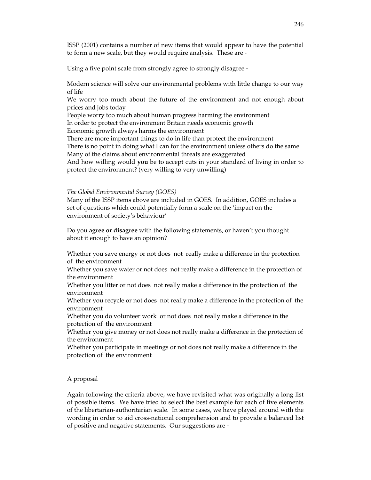ISSP (2001) contains a number of new items that would appear to have the potential to form a new scale, but they would require analysis. These are -

Using a five point scale from strongly agree to strongly disagree -

Modern science will solve our environmental problems with little change to our way of life

We worry too much about the future of the environment and not enough about prices and jobs today

People worry too much about human progress harming the environment

In order to protect the environment Britain needs economic growth

Economic growth always harms the environment

There are more important things to do in life than protect the environment

There is no point in doing what I can for the environment unless others do the same Many of the claims about environmental threats are exaggerated

And how willing would **you** be to accept cuts in your standard of living in order to protect the environment? (very willing to very unwilling)

#### *The Global Environmental Survey (GOES)*

Many of the ISSP items above are included in GOES. In addition, GOES includes a set of questions which could potentially form a scale on the 'impact on the environment of society's behaviour' –

Do you **agree or disagree** with the following statements, or haven't you thought about it enough to have an opinion?

Whether you save energy or not does not really make a difference in the protection of the environment

Whether you save water or not does not really make a difference in the protection of the environment

Whether you litter or not does not really make a difference in the protection of the environment

Whether you recycle or not does not really make a difference in the protection of the environment

Whether you do volunteer work or not does not really make a difference in the protection of the environment

Whether you give money or not does not really make a difference in the protection of the environment

Whether you participate in meetings or not does not really make a difference in the protection of the environment

## A proposal

Again following the criteria above, we have revisited what was originally a long list of possible items. We have tried to select the best example for each of five elements of the libertarian-authoritarian scale. In some cases, we have played around with the wording in order to aid cross-national comprehension and to provide a balanced list of positive and negative statements. Our suggestions are -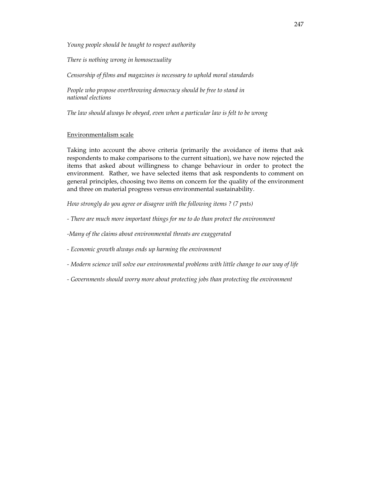*Young people should be taught to respect authority* 

*There is nothing wrong in homosexuality* 

*Censorship of films and magazines is necessary to uphold moral standards* 

People who propose overthrowing democracy should be free to stand in *national elections* 

*The law should always be obeyed, even when a particular law is felt to be wrong* 

#### Environmentalism scale

Taking into account the above criteria (primarily the avoidance of items that ask respondents to make comparisons to the current situation), we have now rejected the items that asked about willingness to change behaviour in order to protect the environment. Rather, we have selected items that ask respondents to comment on general principles, choosing two items on concern for the quality of the environment and three on material progress versus environmental sustainability.

*How strongly do you agree or disagree with the following items ? (7 pnts)* 

- *There are much more important things for me to do than protect the environment*
- *-Many of the claims about environmental threats are exaggerated*
- *Economic growth always ends up harming the environment*
- *Modern science will solve our environmental problems with little change to our way of life*
- *Governments should worry more about protecting jobs than protecting the environment*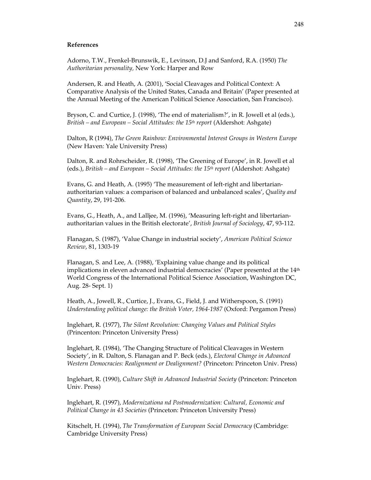#### **References**

Adorno, T.W., Frenkel-Brunswik, E., Levinson, D.J and Sanford, R.A. (1950) *The Authoritarian personality,* New York: Harper and Row

Andersen, R. and Heath, A. (2001), 'Social Cleavages and Political Context: A Comparative Analysis of the United States, Canada and Britain' (Paper presented at the Annual Meeting of the American Political Science Association, San Francisco).

Bryson, C. and Curtice, J. (1998), 'The end of materialism?', in R. Jowell et al (eds.), *British – and European – Social Attitudes: the 15th report* (Aldershot: Ashgate)

Dalton, R (1994), *The Green Rainbow: Environmental Interest Groups in Western Europe* (New Haven: Yale University Press)

Dalton, R. and Rohrscheider, R. (1998), 'The Greening of Europe', in R. Jowell et al (eds.), *British – and European – Social Attitudes: the 15th report* (Aldershot: Ashgate)

Evans, G. and Heath, A. (1995) 'The measurement of left-right and libertarianauthoritarian values: a comparison of balanced and unbalanced scales', *Quality and Quantity*, 29, 191-206.

Evans, G., Heath, A., and Lalljee, M. (1996), 'Measuring left-right and libertarianauthoritarian values in the British electorate', *British Journal of Sociology*, 47, 93-112.

Flanagan, S. (1987), 'Value Change in industrial society', *American Political Science Review*, 81, 1303-19

Flanagan, S. and Lee, A. (1988), 'Explaining value change and its political implications in eleven advanced industrial democracies' (Paper presented at the  $14<sup>th</sup>$ World Congress of the International Political Science Association, Washington DC, Aug. 28- Sept. 1)

Heath, A., Jowell, R., Curtice, J., Evans, G., Field, J. and Witherspoon, S. (1991) *Understanding political change: the British Voter, 1964-1987* (Oxford: Pergamon Press)

Inglehart, R. (1977), *The Silent Revolution: Changing Values and Political Styles* (Princenton: Princeton University Press)

Inglehart, R. (1984), 'The Changing Structure of Political Cleavages in Western Society', in R. Dalton, S. Flanagan and P. Beck (eds.), *Electoral Change in Advanced Western Democracies: Realignment or Dealignment?* (Princeton: Princeton Univ. Press)

Inglehart, R. (1990), *Culture Shift in Advanced Industrial Society* (Princeton: Princeton Univ. Press)

Inglehart, R. (1997), *Modernizationa nd Postmodernization: Cultural, Economic and Political Change in 43 Societies* (Princeton: Princeton University Press)

Kitschelt, H. (1994), *The Transformation of European Social Democracy* (Cambridge: Cambridge University Press)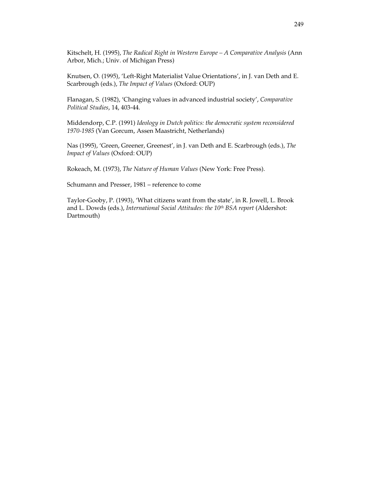Kitschelt, H. (1995), *The Radical Right in Western Europe – A Comparative Analysis* (Ann Arbor, Mich.; Univ. of Michigan Press)

Knutsen, O. (1995), 'Left-Right Materialist Value Orientations', in J. van Deth and E. Scarbrough (eds.), *The Impact of Values* (Oxford: OUP)

Flanagan, S. (1982), 'Changing values in advanced industrial society', *Comparative Political Studies*, 14, 403-44.

Middendorp, C.P. (1991) *Ideology in Dutch politics: the democratic system reconsidered 1970-1985* (Van Gorcum, Assen Maastricht, Netherlands)

Nas (1995), 'Green, Greener, Greenest', in J. van Deth and E. Scarbrough (eds.), *The Impact of Values* (Oxford: OUP)

Rokeach, M. (1973), *The Nature of Human Values* (New York: Free Press).

Schumann and Presser, 1981 – reference to come

Taylor-Gooby, P. (1993), 'What citizens want from the state', in R. Jowell, L. Brook and L. Dowds (eds.), *International Social Attitudes: the 10th BSA report* (Aldershot: Dartmouth)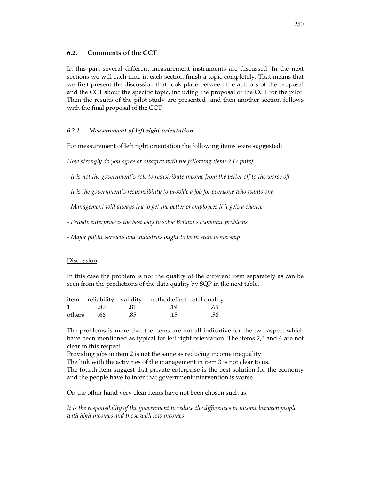## **6.2. Comments of the CCT**

In this part several different measurement instruments are discussed. In the next sections we will each time in each section finish a topic completely. That means that we first present the discussion that took place between the authors of the proposal and the CCT about the specific topic, including the proposal of the CCT for the pilot. Then the results of the pilot study are presented and then another section follows with the final proposal of the CCT .

## *6.2.1 Measurement of left right orientation*

For measurement of left right orientation the following items were suggested:

*How strongly do you agree or disagree with the following items ? (7 pnts)* 

- *It is not the government's role to redistribute income from the better off to the worse off*
- *It is the government's responsibility to provide a job for everyone who wants one*
- *Management will always try to get the better of employees if it gets a chance*
- *Private enterprise is the best way to solve Britain's economic problems*
- *Major public services and industries ought to be in state ownership*

### **Discussion**

In this case the problem is not the quality of the different item separately as can be seen from the predictions of the data quality by SQP in the next table.

|            |     | item reliability validity method effect total quality |     |
|------------|-----|-------------------------------------------------------|-----|
| 1 .80      | .81 | .19                                                   | .65 |
| others .66 | .85 | .15                                                   | .56 |

The problems is more that the items are not all indicative for the two aspect which have been mentioned as typical for left right orientation. The items 2,3 and 4 are not clear in this respect.

Providing jobs in item 2 is not the same as reducing income inequality.

The link with the activities of the management in item 3 is not clear to us.

The fourth item suggest that private enterprise is the best solution for the economy and the people have to infer that government intervention is worse.

On the other hand very clear items have not been chosen such as:

*It is the responsibility of the government to reduce the differences in income between people with high incomes and those with low incomes*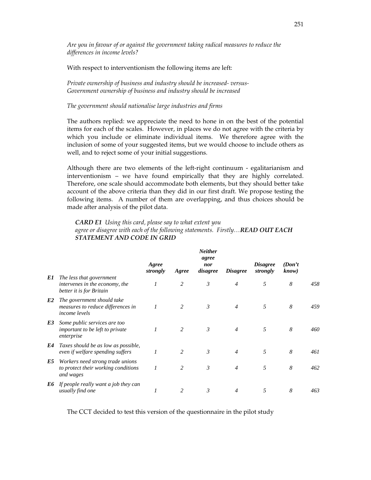*Are you in favour of or against the government taking radical measures to reduce the differences in income levels?* 

With respect to interventionism the following items are left:

*Private ownership of business and industry should be increased- versus-Government ownership of business and industry should be increased* 

#### *The government should nationalise large industries and firms*

The authors replied: we appreciate the need to hone in on the best of the potential items for each of the scales. However, in places we do not agree with the criteria by which you include or eliminate individual items. We therefore agree with the inclusion of some of your suggested items, but we would choose to include others as well, and to reject some of your initial suggestions.

Although there are two elements of the left-right continuum - egalitarianism and interventionism – we have found empirically that they are highly correlated. Therefore, one scale should accommodate both elements, but they should better take account of the above criteria than they did in our first draft. We propose testing the following items. A number of them are overlapping, and thus choices should be made after analysis of the pilot data.

## *CARD E1 Using this card, please say to what extent you agree or disagree with each of the following statements. Firstly…READ OUT EACH STATEMENT AND CODE IN GRID*

*Neither* 

|    |                                                                                         | Agree<br>strongly | Agree          | <i>iveuner</i><br>agree<br>nor<br>disagree | <b>Disagree</b> | <i>Disagree</i><br>strongly | (Don't)<br>know) |     |
|----|-----------------------------------------------------------------------------------------|-------------------|----------------|--------------------------------------------|-----------------|-----------------------------|------------------|-----|
| E1 | The less that government<br>intervenes in the economy, the<br>better it is for Britain  | $\mathcal{I}$     | 2              | $\mathfrak{Z}$                             | $\overline{4}$  | 5                           | 8                | 458 |
| E2 | The government should take<br>measures to reduce differences in<br><i>income levels</i> | 1                 | 2              | $\mathcal{E}$                              | $\overline{4}$  | 5                           | 8                | 459 |
| E3 | Some public services are too<br>important to be left to private<br>enterprise           |                   | $\mathfrak{D}$ | $\mathcal{E}$                              | $\overline{4}$  | 5                           | 8                | 460 |
| E4 | Taxes should be as low as possible,<br>even if welfare spending suffers                 | $\mathcal{I}$     | $\overline{2}$ | 3                                          | $\overline{4}$  | 5                           | 8                | 461 |
| E5 | Workers need strong trade unions<br>to protect their working conditions<br>and wages    |                   | 2              | $\mathcal{E}$                              | $\overline{4}$  | 5                           | 8                | 462 |
| E6 | If people really want a job they can<br>usually find one                                |                   | $\mathfrak{D}$ | 3                                          | 4               | 5                           | 8                | 463 |

The CCT decided to test this version of the questionnaire in the pilot study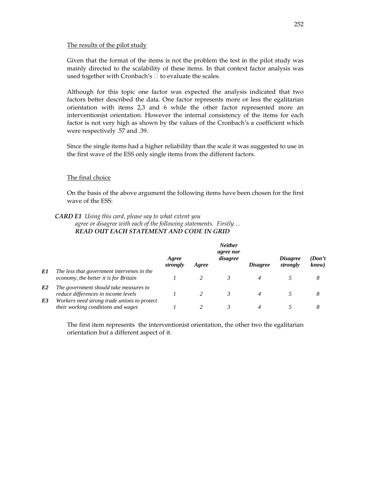## The results of the pilot study

Given that the format of the items is not the problem the test in the pilot study was mainly directed to the scalability of these items. In that context factor analysis was used together with Cronbach's to evaluate the scales.

Although for this topic one factor was expected the analysis indicated that two factors better described the data. One factor represents more or less the egalitarian orientation with items 2,3 and 6 while the other factor represented more an interventionist orientation. However the internal consistency of the items for each factor is not very high as shown by the values of the Cronbach's a coefficient which were respectively .57 and .39.

Since the single items had a higher reliability than the scale it was suggested to use in the first wave of the ESS only single items from the different factors.

### The final choice

On the basis of the above argument the following items have been chosen for the first wave of the ESS:

#### *CARD E1 Using this card, please say to what extent you*

*agree or disagree with each of the following statements. Firstly… READ OUT EACH STATEMENT AND CODE IN GRID* 

|                      |                                                                                                                              | Agree<br>strongly | Agree | <b>Neither</b><br>agree nor<br>disagree | <i>Disagree</i> | <i>Disagree</i><br>strongly | (Don't<br>know) |
|----------------------|------------------------------------------------------------------------------------------------------------------------------|-------------------|-------|-----------------------------------------|-----------------|-----------------------------|-----------------|
| E1                   | The less that government intervenes in the<br>economy, the better it is for Britain                                          |                   |       |                                         |                 |                             | 8               |
| E <sub>2</sub><br>E3 | The government should take measures to<br>reduce differences in income levels<br>Workers need strong trade unions to protect |                   |       |                                         |                 |                             | 8               |
|                      | their working conditions and wages                                                                                           |                   |       |                                         |                 |                             |                 |

The first item represents the interventionist orientation, the other two the egalitarian orientation but a different aspect of it.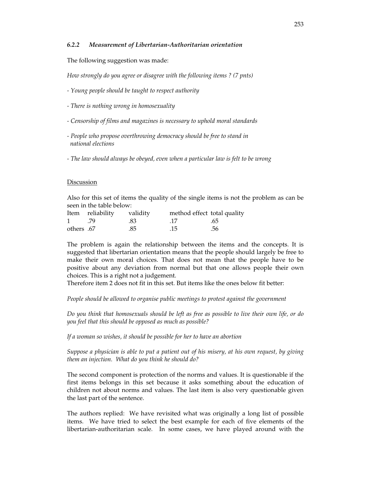#### *6.2.2 Measurement of Libertarian-Authoritarian orientation*

The following suggestion was made:

*How strongly do you agree or disagree with the following items ? (7 pnts)*

- *Young people should be taught to respect authority*
- *There is nothing wrong in homosexuality*
- *Censorship of films and magazines is necessary to uphold moral standards*
- *People who propose overthrowing democracy should be free to stand in national elections*
- *The law should always be obeyed, even when a particular law is felt to be wrong*

#### **Discussion**

Also for this set of items the quality of the single items is not the problem as can be seen in the table below:

|                        | Item reliability validity |     | method effect total quality |     |
|------------------------|---------------------------|-----|-----------------------------|-----|
| $1 \quad \blacksquare$ | - 79                      | -83 | .17                         | .65 |
| others .67             |                           | .85 | .15                         | .56 |

The problem is again the relationship between the items and the concepts. It is suggested that libertarian orientation means that the people should largely be free to make their own moral choices. That does not mean that the people have to be positive about any deviation from normal but that one allows people their own choices. This is a right not a judgement.

Therefore item 2 does not fit in this set. But items like the ones below fit better:

*People should be allowed to organise public meetings to protest against the government* 

*Do you think that homosexuals should be left as free as possible to live their own life, or do you feel that this should be opposed as much as possible?* 

*If a woman so wishes, it should be possible for her to have an abortion* 

*Suppose a physician is able to put a patient out of his misery, at his own request, by giving them an injection. What do you think he should do?*

The second component is protection of the norms and values. It is questionable if the first items belongs in this set because it asks something about the education of children not about norms and values. The last item is also very questionable given the last part of the sentence.

The authors replied: We have revisited what was originally a long list of possible items. We have tried to select the best example for each of five elements of the libertarian-authoritarian scale. In some cases, we have played around with the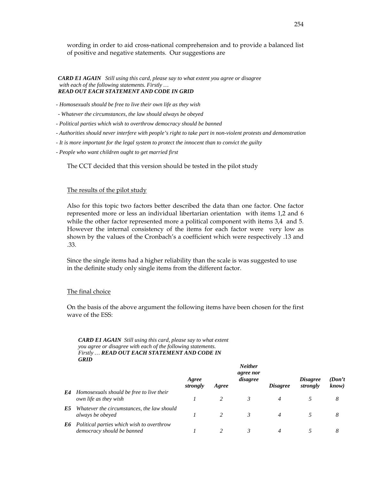wording in order to aid cross-national comprehension and to provide a balanced list of positive and negative statements. Our suggestions are

*CARD E1 AGAIN Still using this card, please say to what extent you agree or disagree with each of the following statements. Firstly … READ OUT EACH STATEMENT AND CODE IN GRID*

*- Homosexuals should be free to live their own life as they wish* 

*- Whatever the circumstances, the law should always be obeyed* 

*- Political parties which wish to overthrow democracy should be banned* 

*- Authorities should never interfere with people's right to take part in non-violent protests and demonstration* 

*- It is more important for the legal system to protect the innocent than to convict the guilty* 

*- People who want children ought to get married first* 

The CCT decided that this version should be tested in the pilot study

#### The results of the pilot study

Also for this topic two factors better described the data than one factor. One factor represented more or less an individual libertarian orientation with items 1,2 and 6 while the other factor represented more a political component with items 3,4 and 5. However the internal consistency of the items for each factor were very low as shown by the values of the Cronbach's a coefficient which were respectively .13 and .33.

Since the single items had a higher reliability than the scale is was suggested to use in the definite study only single items from the different factor.

#### The final choice

On the basis of the above argument the following items have been chosen for the first wave of the ESS:

*CARD E1 AGAIN Still using this card, please say to what extent you agree or disagree with each of the following statements. Firstly … READ OUT EACH STATEMENT AND CODE IN GRID*

|    |                                                                         | Agree<br>strongly | Agree | <b>Neuner</b><br><i>agree nor</i><br>disagree | <i>Disagree</i> | <i>Disagree</i><br>strongly | (Don't)<br>know) |
|----|-------------------------------------------------------------------------|-------------------|-------|-----------------------------------------------|-----------------|-----------------------------|------------------|
| E4 | Homosexuals should be free to live their<br>own life as they wish       |                   |       |                                               |                 |                             | 8                |
| E5 | Whatever the circumstances, the law should<br>always be obeyed          |                   |       |                                               |                 |                             | 8                |
| E6 | Political parties which wish to overthrow<br>democracy should be banned |                   |       |                                               |                 |                             |                  |

*Neither*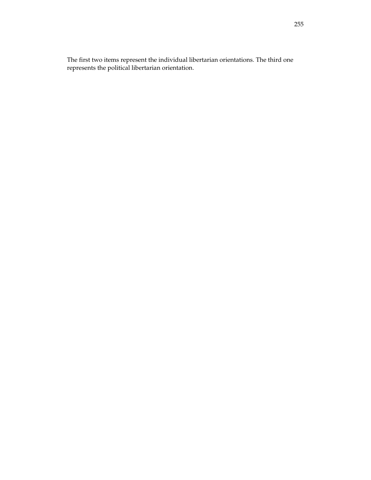The first two items represent the individual libertarian orientations. The third one represents the political libertarian orientation.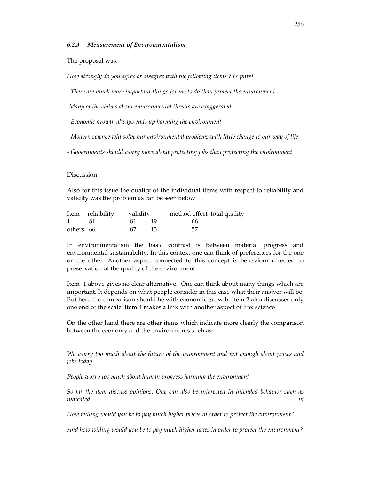#### *6.2.3 Measurement of Environmentalism*

The proposal was:

*How strongly do you agree or disagree with the following items ? (7 pnts)* 

*- There are much more important things for me to do than protect the environment* 

*-Many of the claims about environmental threats are exaggerated* 

- *Economic growth always ends up harming the environment*
- *Modern science will solve our environmental problems with little change to our way of life*
- *Governments should worry more about protecting jobs than protecting the environment*

#### Discussion

Also for this issue the quality of the individual items with respect to reliability and validity was the problem as can be seen below

|            | Item reliability validity |         | method effect total quality |
|------------|---------------------------|---------|-----------------------------|
| 1 .81      | . 81 . 19                 |         | .66                         |
| others .66 |                           | .87 .13 | .57                         |

In environmentalism the basic contrast is between material progress and environmental sustainability. In this context one can think of preferences for the one or the other. Another aspect connected to this concept is behaviour directed to preservation of the quality of the environment.

Item 1 above gives no clear alternative. One can think about many things which are important. It depends on what people consider in this case what their answer will be. But here the comparison should be with economic growth. Item 2 also discusses only one end of the scale. Item 4 makes a link with another aspect of life: science

On the other hand there are other items which indicate more clearly the comparison between the economy and the environments such as:

*We worry too much about the future of the environment and not enough about prices and jobs today* 

*People worry too much about human progress harming the environment* 

*So far the item discuss opinions. One can also be interested in intended behavior such as indicated in* 

*How willing would you be to pay much higher prices in order to protect the environment?* 

*And how willing would you be to pay much higher taxes in order to protect the environment?*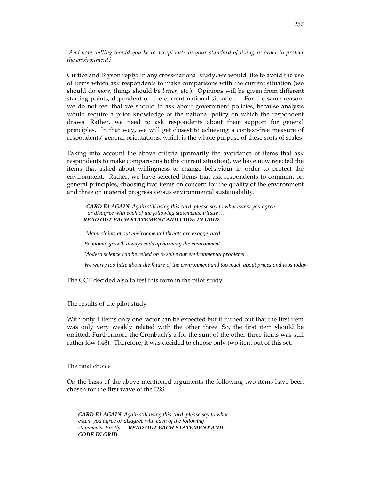*And how willing would you be to accept cuts in your standard of living in order to protect the environment?* 

Curtice and Bryson reply: In any cross-national study, we would like to avoid the use of items which ask respondents to make comparisons with the current situation (we should do *more*, things should be *better,* etc.). Opinions will be given from different starting points, dependent on the current national situation. For the same reason, we do not feel that we should to ask about government policies, because analysis would require a prior knowledge of the national policy on which the respondent draws. Rather, we need to ask respondents about their support for general principles. In that way, we will get closest to achieving a context-free measure of respondents' general orientations, which is the whole purpose of these sorts of scales.

Taking into account the above criteria (primarily the avoidance of items that ask respondents to make comparisons to the current situation), we have now rejected the items that asked about willingness to change behaviour in order to protect the environment. Rather, we have selected items that ask respondents to comment on general principles, choosing two items on concern for the quality of the environment and three on material progress versus environmental sustainability.

*CARD E1 AGAIN Again still using this card, please say to what extent you agree or disagree with each of the following statements. Firstly … READ OUT EACH STATEMENT AND CODE IN GRID*

*Many claims about environmental threats are exaggerated Economic growth always ends up harming the environment Modern science can be relied on to solve our environmental problems We worry too little about the future of the environment and too much about prices and jobs today* 

The CCT decided also to test this form in the pilot study.

#### The results of the pilot study

With only 4 items only one factor can be expected but it turned out that the first item was only very weakly related with the other three. So, the first item should be omitted. Furthermore the Cronbach's a for the sum of the other three items was still rather low (.48). Therefore, it was decided to choose only two item out of this set.

#### The final choice

On the basis of the above mentioned arguments the following two items have been chosen for the first wave of the ESS:

*CARD E1 AGAIN Again still using this card, please say to what extent you agree or disagree with each of the following statements. Firstly … READ OUT EACH STATEMENT AND CODE IN GRID*